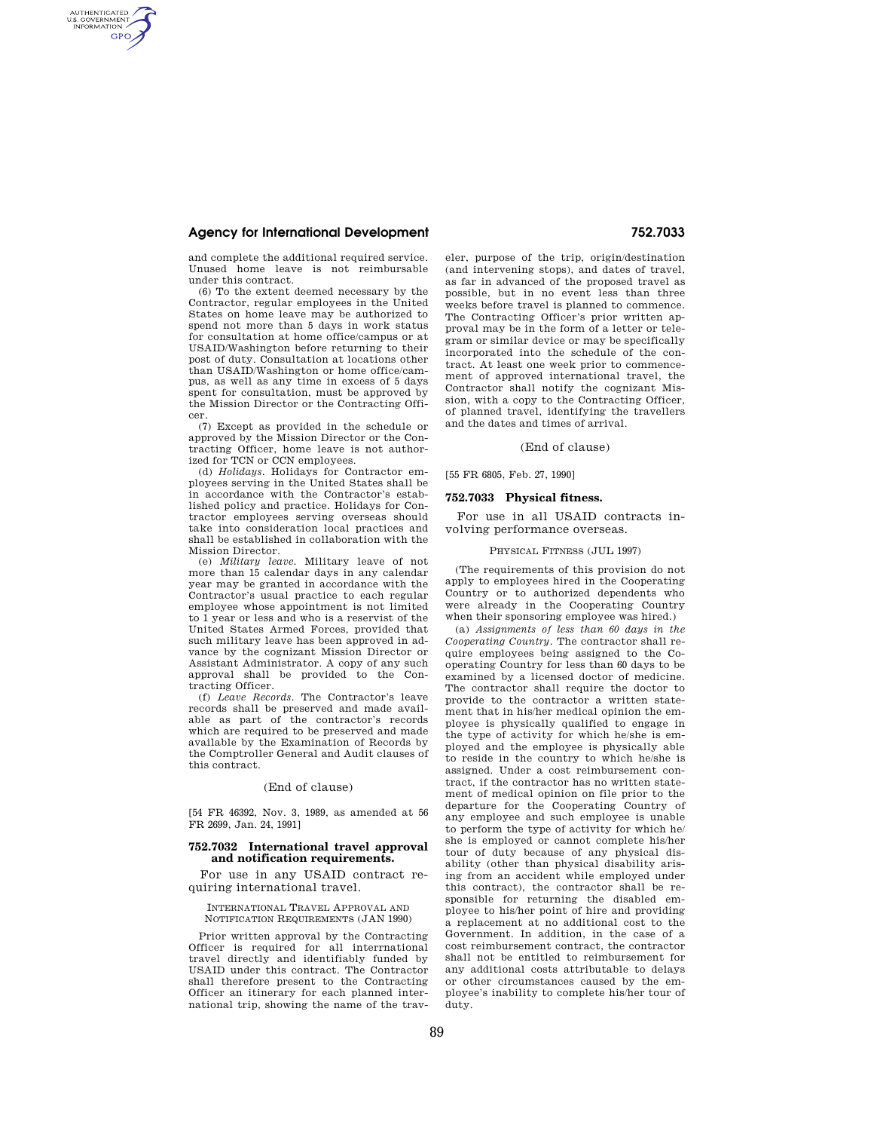# **Agency for International Development 752.7033**

AUTHENTICATED<br>U.S. GOVERNMENT<br>INFORMATION **GPO** 

> and complete the additional required service. Unused home leave is not reimbursable under this contract.

(6) To the extent deemed necessary by the Contractor, regular employees in the United States on home leave may be authorized to spend not more than 5 days in work status for consultation at home office/campus or at USAID/Washington before returning to their post of duty. Consultation at locations other than USAID/Washington or home office/campus, as well as any time in excess of 5 days spent for consultation, must be approved by the Mission Director or the Contracting Officer.

(7) Except as provided in the schedule or approved by the Mission Director or the Contracting Officer, home leave is not authorized for TCN or CCN employees.

(d) *Holidays.* Holidays for Contractor employees serving in the United States shall be in accordance with the Contractor's established policy and practice. Holidays for Contractor employees serving overseas should take into consideration local practices and shall be established in collaboration with the Mission Director.

(e) *Military leave.* Military leave of not more than 15 calendar days in any calendar year may be granted in accordance with the Contractor's usual practice to each regular employee whose appointment is not limited to 1 year or less and who is a reservist of the United States Armed Forces, provided that such military leave has been approved in advance by the cognizant Mission Director or Assistant Administrator. A copy of any such approval shall be provided to the Contracting Officer.

(f) *Leave Records.* The Contractor's leave records shall be preserved and made available as part of the contractor's records which are required to be preserved and made available by the Examination of Records by the Comptroller General and Audit clauses of this contract.

### (End of clause)

[54 FR 46392, Nov. 3, 1989, as amended at 56 FR 2699, Jan. 24, 1991]

## **752.7032 International travel approval and notification requirements.**

For use in any USAID contract requiring international travel.

INTERNATIONAL TRAVEL APPROVAL AND NOTIFICATION REQUIREMENTS (JAN 1990)

Prior written approval by the Contracting Officer is required for all interrnational travel directly and identifiably funded by USAID under this contract. The Contractor shall therefore present to the Contracting Officer an itinerary for each planned international trip, showing the name of the traveler, purpose of the trip, origin/destination (and intervening stops), and dates of travel, as far in advanced of the proposed travel as possible, but in no event less than three weeks before travel is planned to commence. The Contracting Officer's prior written approval may be in the form of a letter or telegram or similar device or may be specifically incorporated into the schedule of the contract. At least one week prior to commencement of approved international travel, the Contractor shall notify the cognizant Mission, with a copy to the Contracting Officer, of planned travel, identifying the travellers and the dates and times of arrival.

### (End of clause)

# [55 FR 6805, Feb. 27, 1990]

# **752.7033 Physical fitness.**

For use in all USAID contracts involving performance overseas.

### PHYSICAL FITNESS (JUL 1997)

(The requirements of this provision do not apply to employees hired in the Cooperating Country or to authorized dependents who were already in the Cooperating Country when their sponsoring employee was hired.)

(a) *Assignments of less than 60 days in the Cooperating Country.* The contractor shall require employees being assigned to the Cooperating Country for less than 60 days to be examined by a licensed doctor of medicine. The contractor shall require the doctor to provide to the contractor a written statement that in his/her medical opinion the employee is physically qualified to engage in the type of activity for which he/she is employed and the employee is physically able to reside in the country to which he/she is assigned. Under a cost reimbursement contract, if the contractor has no written statement of medical opinion on file prior to the departure for the Cooperating Country of any employee and such employee is unable to perform the type of activity for which he/ she is employed or cannot complete his/her tour of duty because of any physical disability (other than physical disability arising from an accident while employed under this contract), the contractor shall be responsible for returning the disabled employee to his/her point of hire and providing a replacement at no additional cost to the Government. In addition, in the case of a cost reimbursement contract, the contractor shall not be entitled to reimbursement for any additional costs attributable to delays or other circumstances caused by the employee's inability to complete his/her tour of duty.